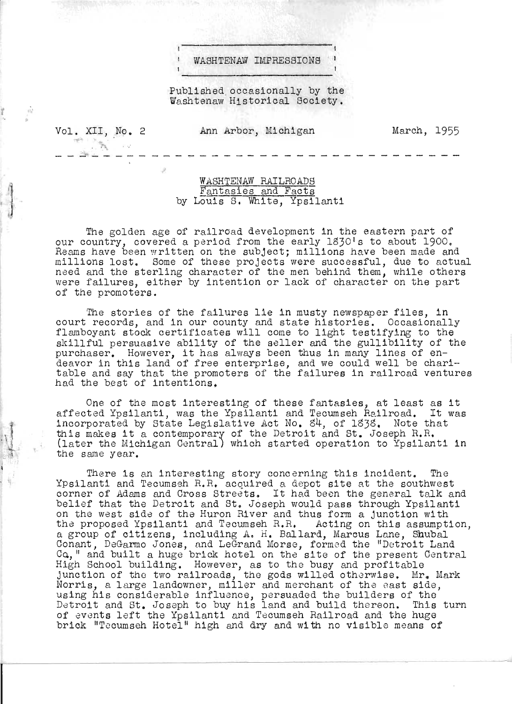## WASHTENAW IMPRESSIONS

Published occasionally by the Washtenaw Historical Society.

Vol. XII, No. 2 - - . .....; . --

. The set of  $\mathcal{P}_\mathbf{A}$ 

- - - <sup>~</sup>

~ "

t "

 $\mathbf{1}$ 

 $-12$ .

Ann Arbor, Michigan

March, 1955

WASHTENAW RAILROADS Fantasies and Facts by Louis S. White, Ypsilanti

The golden age of railroad development in the eastern part of our country, covered a period from the early 1830's to about 1900. Reams have been written on the subject; millions have been made and millions lost. Some of these projects were successful, due to actual need and the sterling character of the men behind them, while others were failures, either by intention or lack of character on the part of the promoters.

The stories of the failures lie in musty newspaper files, in court records, and in our county and state histories. Occasionally flamboyant stock certificates will come to light testifying to the skillful persuasive ability of the seller and the gullibility of the skilliul persuasive ability of the seller and the guilibility of<br>purchaser. However, it has always been thus in many lines of endeavor in this land of free enterprise, and we could well be charitable and say that the promoters of the failures in railroad ventures had the best of intentions.

One of the most interesting of these fantasies, at least as it one of the most interesting of these fantasies, at feast as it incorporated by State Legislative Act No. S4, of lS3S . Note that this makes it a contemporary of the Detroit and St. Joseph R.R. (later the Michigan Central) which started operation to Ypsilanti in the same year.

There is an interesting story concerning this incident. The Ypsilanti and Tecumseh H. R. acquired a depot site at the southwest corner of Adams and Cross Streets. It had been the general talk and belief that the Detroit and St. Joseph would pass through Ypsilanti on the west side of the Huron River and thus form a junction with the proposed Ypsilanti and Tecumseh R.R. Acting on this assumption, a group of citizens, including A. H. Ballard, Marcus Lane, Shubal Conant, DeGarmo Jones, and LeGrand Morse, formed the "Dotroit Land Ca." and built a huge brick hotel on the site of the present Central I., and sally dings silen hotel on the site of the presence junction of the two railroads, the gods willed otherwise. Mr. Mark Norris, a large landowner, miller and merchant of the east side, using his considerable influence, persuaded the builders of the Detroit and St. Joseph to buy his land and build thereon. This turn of events left the Ypsilanti and Tecumseh Hailroad and the huge brick "Tecumseh Hotel" high and dry and wi th no visible means of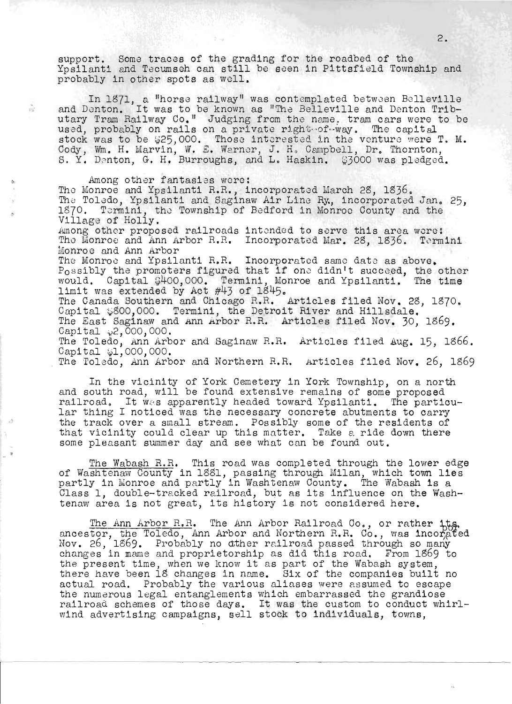support. Some traces of the grading for the roadbed of the Yosilanti and Tecumsch can still be seen in Pittsfield Township and probably in other spots as well.

In 1871, a "horse railway" was contemplated between Belleville<br>and Denton. It was to be known as "The Belleville and Denton Tributary Tram Railway Co." Judging from the name. tram cars were to be used, probably on rails on a private right of way. The capital stock was to be  $$25,000$ . Those interested in the venture were T. M.<br>Cody, Wm. H. Marvin, W. E. Warner, J. H. Campbell, Dr. Thornton, S. Y. Denton, G. H. Burroughs, and L. Haskin. \$3000 was pledged.

 $\tilde{m}$ 

Among other fantasies were: The Monroe and Ypsilanti R.R., incorporated March 28. 1836. The Toledo, Ypsilanti and Saginaw Air Line Ry, incorporated Jan. 25, 1870. Termini, the Township of Bedford in Monroe County and the Village of Holly. Among other proposed railroads intended to serve this area were: The Monroe and Ann Arbor R.R. Incorporated Mar. 28, 1836. Termini Monroe and Ann Arbor The Monroe and Ypsilanti R.R. Incorporated same date as above. Possibly the promoters figured that if one didn't succeed, the other<br>would. Capital \$400,000. Termini, Monroe and Ypsilanti. The time<br>limit was extended by Act #43 of 1845. The Canada Southern and Chicago R.R. Articles filed Nov. 28, 1870. Capital \$800,000. Termini, the Detroit River and Hillsdale. The East Saginaw and Ann Arbor R.R. Articles filed Nov. 30. 1869. Capital  $\varphi$ 2,000,000. The Toledo, Ann Arbor and Saginaw R.R. Articles filed Aug. 15, 1866.<br>Capital #1,000,000. The Toledo, Ann Arbor and Northern R.R. Articles filed Nov. 26, 1869

In the vicinity of York Cemetery in York Township, on a north and south road, will be found extensive remains of some proposed railroad. It was apparently headed toward Ypsilanti. The particular thing I noticed was the necessary concrete abutments to carry the track over a small stream. Possibly some of the residents of that vicinity could clear up this matter. Take a ride down there some pleasant summer day and see what can be found out.

The Wabash R.R. This road was completed through the lower edge of Washtenaw County in 1881, passing through Milan, which town lies<br>partly in Monroe and partly in Washtenaw County. The Wabash is a Class 1, double-tracked railroad, but as its influence on the Washtenaw area is not great, its history is not considered here.

The Ann Arbor R.R. The Ann Arbor Railroad Oo., or rather 1ts.<br>ancestor, the Toledo, Ann Arbor and Northern R.R. Co., was incorated Nov. 26, 1869. Probably no other railroad passed through so many changes in mame and proprietorship as did this road. From 1869 to the present time, when we know it as part of the Wabash system, there have been 18 changes in name. Six of the companies built no actual road. Probably the various aliases were assumed to escape the numerous legal entanglements which embarrassed the grandiose railroad schemes of those days. It was the custom to conduct whirl-<br>wind advertising campaigns, sell stock to individuals, towns,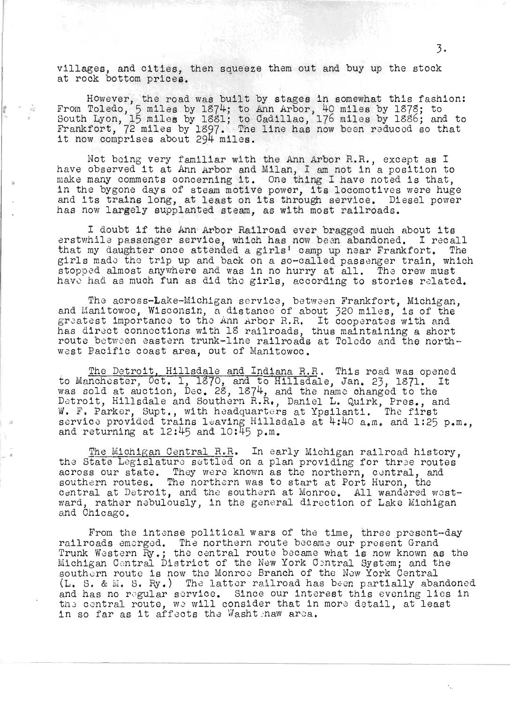villages, and cities, then squeeze them out and buy up the stock at rock bottom prices.

However, the road was built by stages in somewhat this fashion: From Toledo, 5 miles by 1874; to Ann Arbor, 40 miles by 1878; to South Lyon, 15 miles by l8Sl; to Cadillac, 176 miles by 1886; and to Frankfort, 72 miles by 1881, to Saulilac, 170 miles by 1880, and to rankrort, 72 miles by 1897. The<br>it now comprises about 294 miles.

Not being very familiar with the Ann Arbor R.R., except as I have observed it at Ann Arbor and M.ilan, I am not in a position to make many comments concerning it. One thing I have noted is that, in the bygone days of steam motive power, its locomotives were huge and its trains long, at least on its through service. Diesel power has now largely supplanted steam, as with most railroads.

I doubt if the Ann Arbor Railroad ever bragged much about its erstwhile passenger service, which has now been abandoned. I recall that my daughter once attended a girls' camp up near Frankfort. The girls mado tho trip up and back on a so-called passenger train, which stoppod almost anywhere and was in no hurry at all. The crew must have had as much fun as did the girls, according to stories related.

The across-Lake-Michigan service, between Frankfort, Michigan, and Manitowoc, Wisconsin, a distance of about 320 miles, is of the and manitowoc, wisconsin, a distance of about 520 miles, is of the<br>greatest importance to the Ann Arbor R.R. It cooperates with and greatest importance to the Ann Arbor R.M. The cooperates with and<br>has direct connections with 18 railroads, thus maintaining a short route between eastern trunk-line railroads at Toledo and the north-<br>west Pacific coast area, out of Manitowoc.

The Detroit, Hillsdale and Indiana R.R. This road was opened to Manchester, Oct. 1, 1370, and to Hillsdale, Jan. 23, 1371. It was sold at auction, Dec. 28, 1874, and the name changed to the Detroit, Hillsdale and Southern R.R., Daniel L. Quirk, Pres., and Detrolt, hillsdale and Southern R.R., Daniel D. Quirk, Pres., an<br>M. F. Parker, Supt., with headquarters at Ypsilanti. The first service provided trains leaving Hillsdale at  $4:40$  a.m. and 1:25 p.m., and returning at  $12:45$  and  $10:45$  p.m.

The Michigan Central R.R. In early Michigan railroad history, the State Legislature settled on a plan providing for three routes across our state. They were known as the northern, central, and southern routes. They were known as the northern, central, and increase the northern was to start at Port Huron, the central at Detroit, and the southern at Monroe. All wandared westsentral at Detroit, and the southern at monroe. All wandered westand Chicago.

From the intense political wars of the time, three present-day riom the intense pointical wars of the time, three presenterraifroads emerged. The horthern route became our present drand<br>Frunk Western Ry.; the central route became what is now known as the Iruik western ny.; the central route became what is now known as the Nichigan Central District of the New York Central System; and the southern route is now the Monroe Branch of the New York Central (L. S. & M. S. Ry.) The latter railroad has been partially abandoned and has no regular service. Since our interest this evening lies in the central route, we will consider that in more detail, at least in so far as it affects the Washt naw area.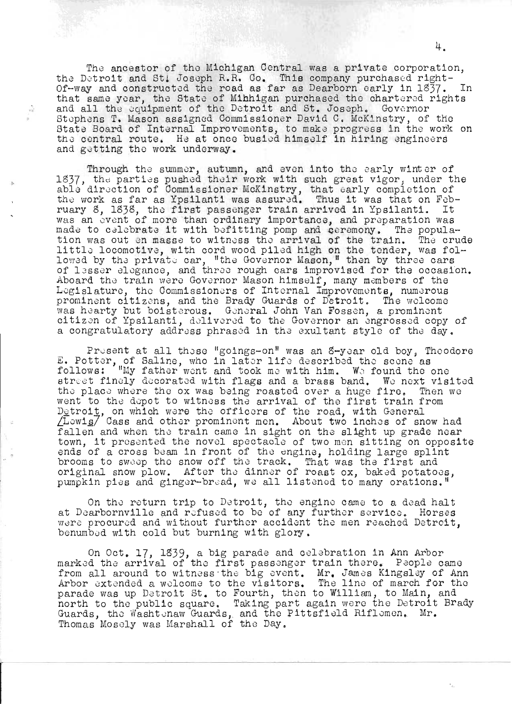The ancestor of the Michigan Central was a private corporation, the Detroit and St. Joseph R.R. Co. This company purchased right-<br>Of-way and constructed the road as far as Dearborn early in 1837. In that same year, the State of Minhigan purchased the chartered rights<br>and all the equipment of the Detroit and St. Joseph. Governor<br>Stephens T. Mason assigned Commissioner David C. McKinstry, of the State Board of Internal Improvements, to make progress in the work on the central route. He at once busied himself in hiring engineers and getting the work underway.

 $\hat{\mathcal{Q}}$ 

Through the summer, autumn, and even into the early winter of 1837, the parties pushed their work with such great vigor, under the able direction of Commissioner McKinstry, that early completion of the work as far as Ypsil ruary 8, 1838, the first passenger train arrived in Ypsilanti. It was an event of more than ordinary importance, and preparation was made to celebrate it with befitting pomp and ceremony. The population was out en masse to witness the arrival of the train. The crude<br>little locomotive, with cord wood piled high on the tender, was fol-<br>lowed by the private car, "the Governor Mason," then by three cars of lesser elegance, and three rough cars improvised for the occasion. Aboard the train were Governor Mason himself, many members of the Legislature, the Commissioners of Internal Improvements, numerous<br>prominent citizens, and the Brady Guards of Detroit. The welcome<br>was hearty but boisterous. General John Van Fossen, a prominent<br>citizen of Ypsilanti, deliv a congratulatory address phrased in the exultant style of the day.

Present at all these "goings-on" was an S-year old boy, Theodore E. Potter, of Saline, who in later life described the scene as follows: "My father went and took me with him. We found the one street finely decorated with flags and a brass band. We next visited the place where the ox was being roasted over a huge fire. Then we went to the depot to witness the arrival of the first train from Detroit, on which were the officers of the road, with General /Lowis/ Cass and other prominent men. About two inches of snow had fallen and when the train came in sight on the slight up grade near town, it presented the novel spectacle of two men sitting on opposite ends of a cross beam in front of the engine, holding large splint brooms to sweep the snow off the track. That was the first and original snow plow. After the dinner of roast ox, baked potatoes, pumpkin pies and ginger-bread, we all listened to many orations."

On the return trip to Detroit, the engine came to a dead halt at Dearbornville and refused to be of any further service. Horses were procured and without further accident the men reached Detroit, benumbed with cold but burning with glory.

On Oct. 17, 1839, a big parade and celebration in Ann Arbor<br>marked the arrival of the first passenger train there. People came<br>from all around to witness the big event. Mr. James Kingsley of Ann<br>Arbor extended a welcome to parade was up Detroit St. to Fourth, then to William, to Main, and north to the public square. Taking part again were the Detroit Brady<br>Guards, the Washtenaw Guards, and the Pittsfield Riflemen. Mr.<br>Thomas Mosely was Marshall of the Day.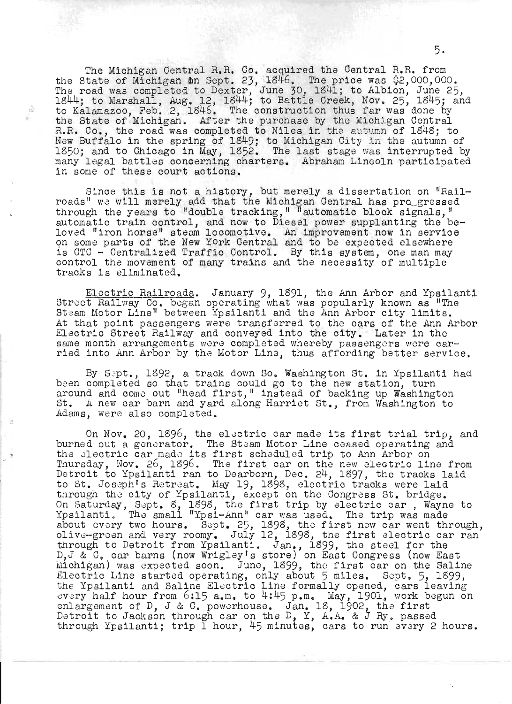The Michigan Central R.R. Co. acquired the Central R.R. from the State of Michigan 11m Sept. 23, 1846. The price was 02,000,000.<br>The road was completed to Dexter, June 30, 1841; to Albion, June 25, 110 Icad was compressed to Bones, the set of the creek, Nov. 25, 1845; and to Kalamazoo, Feb. 2, 1846. The construction thus far was done by<br>the State of Michigan. After the purchase by the Michigan Central the State of Michigan. After the purchase by the Michigan Central R.R. Co., the road was completed to Niles in the autumn of 1848; to New Buffalo in the spring of 1849; to Michigan City in the autumn of 1850; and to Chicago in May, 1852. The last stage was interrupted by many legal battles concerning charters. Abraham Lincoln participated in some of these court actions.

ŵ.

Since this is not a history, but merely a dissertation on "Rail-<br>roads" we will merely add that the Michigan Central has pro\_gressed through the years to "double tracking," "automatic block signals," automatic train control, and now to Diesel power supplanting the beloved "iron horse" steam locomotive. An improvement now in service noved "iron norse" steam locomotive. An improvement now in service<br>on some parts of the New York Central and to be expected elsewhere on some parts of the New York Central and to be expected elsewhere<br>is CTC - Centralized Traffic Control. By this system, one man may<br>control the movement of many trains and the necessity of multiple tracks is eliminated.

Electric Railroads. January 9, 1891, the Ann Arbor and Ypsilanti Street Railway Co. began operating what was popularly known as "The St eam Motor Line" between Ypsilanti and the Ann Arbor city limits.<br>At that point passengers were transferred to the cars of the Ann Arbor At that point passengers were transferred to the cars of the Ann Arbor<br>Electric Street Railway and conveyed into the city. Later in the same month arrangements were completed whereby passengers were carried into Ann Arbor by the Motor Line, thus affording better service.

By Sept., 1892, a track down So. Washington St. in Ypsilanti had been completed so that trains could go to the new station, turn around and come out "head first," instead of backing up Washington St. A new car barn and yard along Harriet St., from Washington to Adams, were also completed.

On Nov. 20, 1896, the electric car made its first trial trip, and burned out a generator. The Steam Motor Line ceased operating and the electric car made its first scheduled trip to Ann Arbor on Inder Siectific Car made its first scheduled trip to Ann Arbor on<br>Thursday, Nov. 26, 1896. The first car on the new electric line from nursaay, Nov. 20, 1090. The Trist car on the new electic Trie Trom<br>Detroit to Ypsilanti ran to Dearborn, Dec. 24, 1897, the tracks laid petioli to ipsilanti fan to Bearborn, Bec. 24, 1997, the tracks is<br>to St. Joseph's Retreat. May 19, 1898, electric tracks were laid through the city of Ypsilanti, except on the Congress St. bridge.<br>On Saturday, Sept. 8, 1898, the first trip by electric car , Wayne to on bacarday, bepe, b, 1999, the first crip by creedire car , wayne ipsitanti, the small fight-Ann car was used. The trip was made<br>about every two hours. Sept. 25, 1898, the first new car went through,<br>olive-green and very roomy. July 12, 1898, the first electric car ran through to Detroit from Ypsilanti. Jan., 1899, the steel for the D,J & C, car barns (now Wrigley's store) on East Congress (now East b, a c, car barns (now wrigley's store) on East congress (now East<br>Michigan) was expected soon. June, 1899, the first car on the Saline Electric Line started operating, only about 5 miles. Sept. 5, 1899, the Ypsilanti and Saline Electric Line formally opened, cars leaving every half hour from 6:15 a.m. to 4:45 p.m. May, 1901, work begun on enlargement of D, J & C. powerhouse. Jan. 18, 1902, the first Detroit to Jackson through car on the D, Y, A.A. & J Ry, passed through Ypsilanti; trip 1 hour, 45 minutes, cars to run every 2 hours.